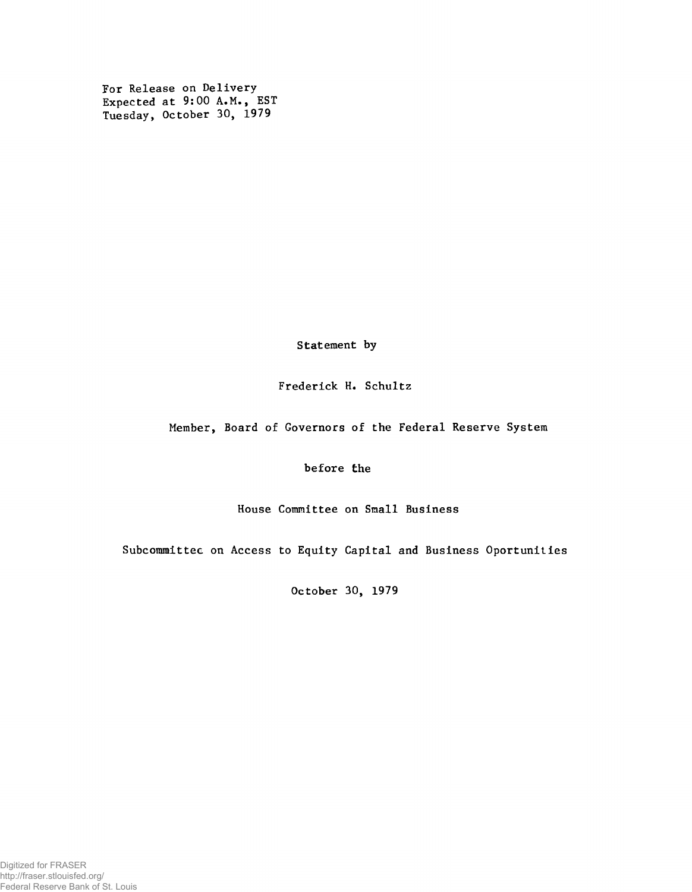For Release on Delivery Expected at 9:00 A.M., EST Tuesday, October 30, 1979

Statement by

Frederick H. Schultz

Member, Board of Governors of the Federal Reserve System

before the

House Committee on Small Business

Subcommittee on Access to Equity Capital and Business Oportunities

October 30, 1979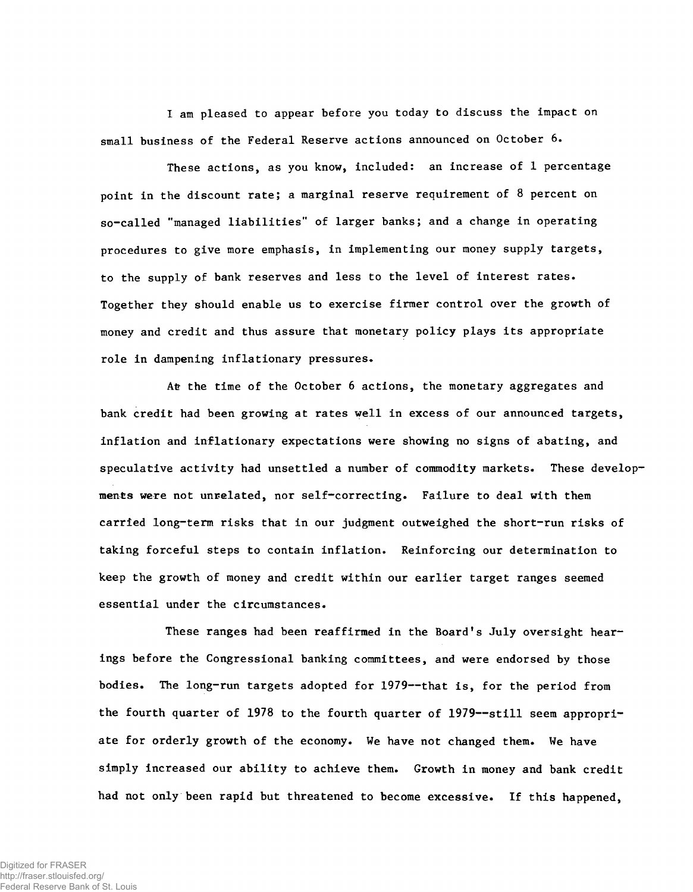I am pleased to appear before you today to discuss the impact on small business of the Federal Reserve actions announced on October 6.

These actions, as you know, included: an increase of 1 percentage point in the discount rate; a marginal reserve requirement of 8 percent on so-called "managed liabilities" of larger banks; and a change in operating procedures to give more emphasis, in implementing our money supply targets, to the supply of bank reserves and less to the level of interest rates. Together they should enable us to exercise firmer control over the growth of money and credit and thus assure that monetary policy plays its appropriate role in dampening inflationary pressures.

Atr the time of the October 6 actions, the monetary aggregates and bank credit had been growing at rates well in excess of our announced targets, inflation and inflationary expectations were showing no signs of abating, and speculative activity had unsettled a number of commodity markets. These developments were not unrelated, nor self-correcting. Failure to deal with them carried long-term risks that in our judgment outweighed the short-run risks of taking forceful steps to contain inflation. Reinforcing our determination to keep the growth of money and credit within our earlier target ranges seemed essential under the circumstances.

These ranges had been reaffirmed in the Board's July oversight hearings before the Congressional banking committees, and were endorsed by those bodies. The long-run targets adopted for 1979— that is, for the period from the fourth quarter of 1978 to the fourth quarter of 1979— still seem appropriate for orderly growth of the economy. We have not changed them. We have simply increased our ability to achieve them. Growth in money and bank credit had not only been rapid but threatened to become excessive. If this happened,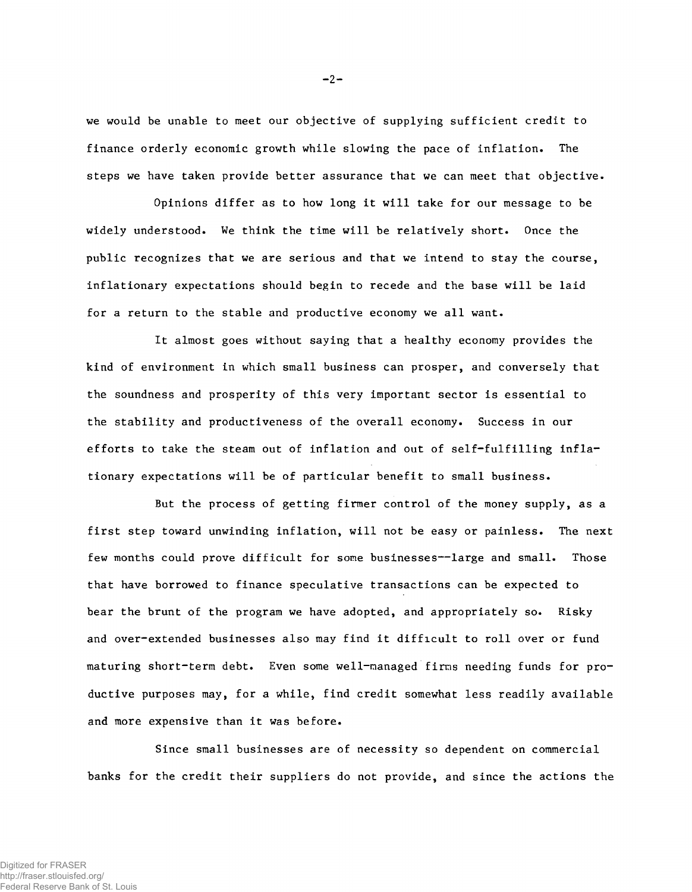we would be unable to meet our objective of supplying sufficient credit to finance orderly economic growth while slowing the pace of inflation. The steps we have taken provide better assurance that we can meet that objective.

Opinions differ as to how long it will take for our message to be widely understood. We think the time will be relatively short. Once the public recognizes that we are serious and that we intend to stay the course, inflationary expectations should begin to recede and the base will be laid for a return to the stable and productive economy we all want.

It almost goes without saying that a healthy economy provides the kind of environment in which small business can prosper, and conversely that the soundness and prosperity of this very important sector is essential to the stability and productiveness of the overall economy. Success in our efforts to take the steam out of inflation and out of self-fulfilling inflationary expectations will be of particular benefit to small business.

But the process of getting firmer control of the money supply, as a first step toward unwinding inflation, will not be easy or painless. The next few months could prove difficult for some businesses--large and small. Those that have borrowed to finance speculative transactions can be expected to bear the brunt of the program we have adopted, and appropriately so. Risky and over-extended businesses also may find it difficult to roll over or fund maturing short-term debt. Even some well-managed firms needing funds for productive purposes may, for a while, find credit somewhat less readily available and more expensive than it was before.

Since small businesses are of necessity so dependent on commercial banks for the credit their suppliers do not provide, and since the actions the

 $-2-$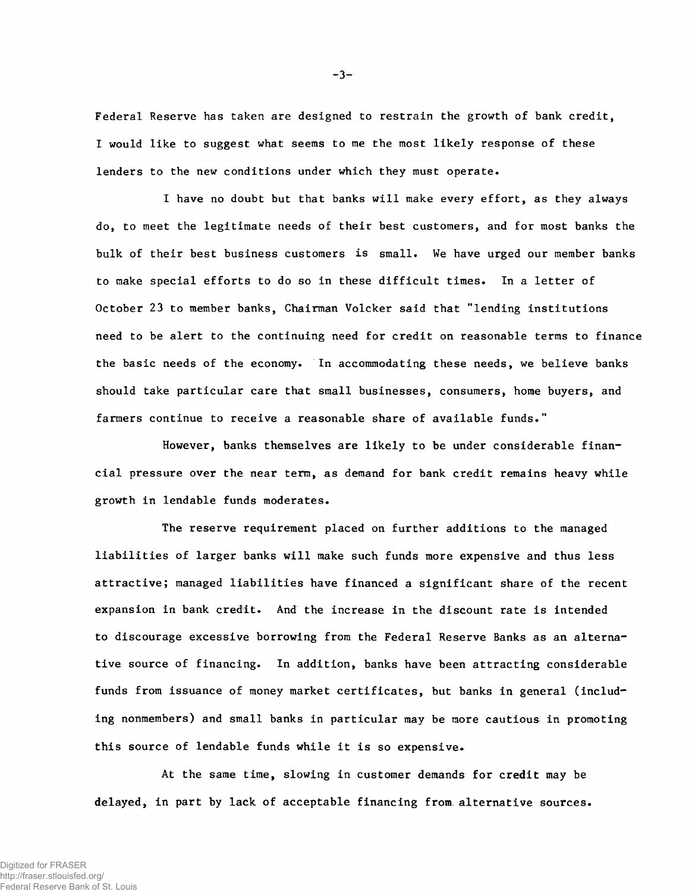Federal Reserve has taken are designed to restrain the growth of bank credit, I would like to suggest what seems to me the most likely response of these lenders to the new conditions under which they must operate.

I have no doubt but that banks will make every effort, as they always do, to meet the legitimate needs of their best customers, and for most banks the bulk of their best business customers is small. We have urged our member banks to make special efforts to do so in these difficult times. In a letter of October 23 to member banks, Chairman Volcker said that "lending institutions need to be alert to the continuing need for credit on reasonable terms to finance the basic needs of the economy. In accommodating these needs, we believe banks should take particular care that small businesses, consumers, home buyers, and farmers continue to receive a reasonable share of available funds."

However, banks themselves are likely to be under considerable financial pressure over the near term, as demand for bank credit remains heavy while growth in lendable funds moderates.

The reserve requirement placed on further additions to the managed liabilities of larger banks will make such funds more expensive and thus less attractive; managed liabilities have financed a significant share of the recent expansion in bank credit. And the increase in the discount rate is intended to discourage excessive borrowing from the Federal Reserve Banks as an alternative source of financing. In addition, banks have been attracting considerable funds from issuance of money market certificates, but banks in general (including nonmembers) and small banks in particular may be more cautious in promoting this source of lendable funds while it is so expensive.

At the same time, slowing in customer demands for credit may be delayed, in part by lack of acceptable financing from alternative sources.

 $-3-$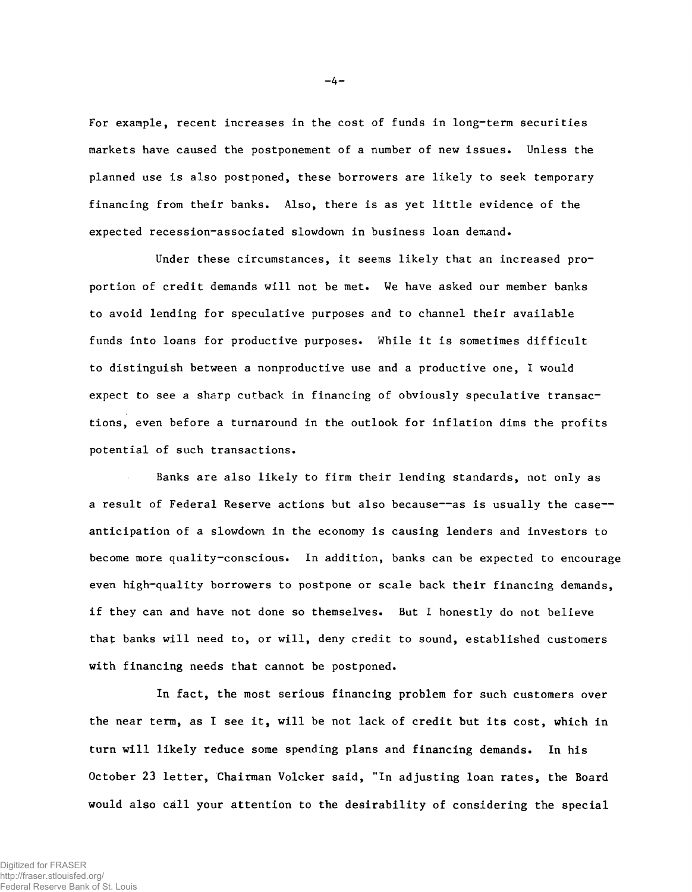For example, recent increases in the cost of funds in long-term securities markets have caused the postponement of a number of new issues. Unless the planned use is also postponed, these borrowers are likely to seek temporary financing from their banks. Also, there is as yet little evidence of the expected recession-associated slowdown in business loan demand.

Under these circumstances, it seems likely that an increased proportion of credit demands will not be met. We have asked our member banks to avoid lending for speculative purposes and to channel their available funds into loans for productive purposes. While it is sometimes difficult to distinguish between a nonproductive use and a productive one, I would expect to see a sharp cutback in financing of obviously speculative transactions, even before a turnaround in the outlook for inflation dims the profits potential of such transactions.

Banks are also likely to firm their lending standards, not only as a result of Federal Reserve actions but also because--as is usually the case-anticipation of a slowdown in the economy is causing lenders and investors to become more quality-conscious. In addition, banks can be expected to encourage even high-quality borrowers to postpone or scale back their financing demands, if they can and have not done so themselves. But I honestly do not believe that banks will need to, or will, deny credit to sound, established customers with financing needs that cannot be postponed.

In fact, the most serious financing problem for such customers over the near term, as I see it, will be not lack of credit but its cost, which in turn will likely reduce some spending plans and financing demands. In his October 23 letter, Chairman Volcker said, "In adjusting loan rates, the Board would also call your attention to the desirability of considering the special

 $-4 -$